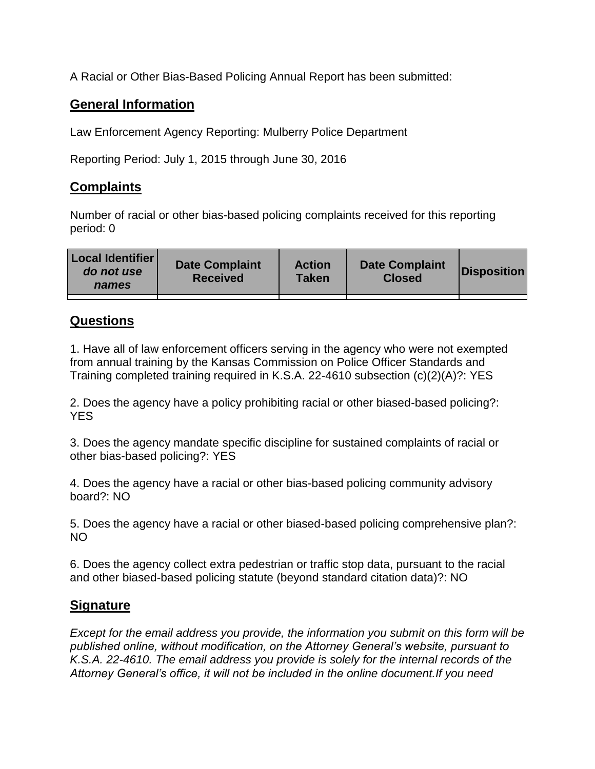A Racial or Other Bias-Based Policing Annual Report has been submitted:

## **General Information**

Law Enforcement Agency Reporting: Mulberry Police Department

Reporting Period: July 1, 2015 through June 30, 2016

## **Complaints**

Number of racial or other bias-based policing complaints received for this reporting period: 0

| <b>Local Identifier</b><br>do not use<br>names | <b>Date Complaint</b><br><b>Received</b> | <b>Action</b><br><b>Taken</b> | <b>Date Complaint</b><br><b>Closed</b> | Disposition |
|------------------------------------------------|------------------------------------------|-------------------------------|----------------------------------------|-------------|
|                                                |                                          |                               |                                        |             |

## **Questions**

1. Have all of law enforcement officers serving in the agency who were not exempted from annual training by the Kansas Commission on Police Officer Standards and Training completed training required in K.S.A. 22-4610 subsection (c)(2)(A)?: YES

2. Does the agency have a policy prohibiting racial or other biased-based policing?: YES

3. Does the agency mandate specific discipline for sustained complaints of racial or other bias-based policing?: YES

4. Does the agency have a racial or other bias-based policing community advisory board?: NO

5. Does the agency have a racial or other biased-based policing comprehensive plan?: NO

6. Does the agency collect extra pedestrian or traffic stop data, pursuant to the racial and other biased-based policing statute (beyond standard citation data)?: NO

## **Signature**

*Except for the email address you provide, the information you submit on this form will be published online, without modification, on the Attorney General's website, pursuant to K.S.A. 22-4610. The email address you provide is solely for the internal records of the Attorney General's office, it will not be included in the online document.If you need*